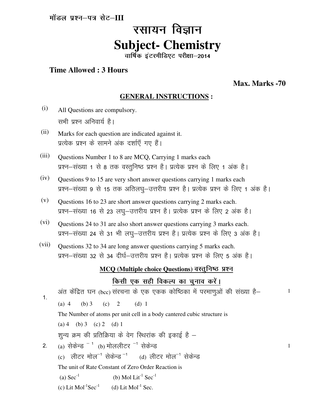मॉडल प्रश्न-पत्र सेट-III

# रसायन विज्ञान **Subject- Chemistry**

वार्षिक इंटरमीडिएट परीक्षा-2014

## **Time Allowed : 3 Hours**

**Max. Marks -70**

1

1

## **GENERAL INSTRUCTIONS :**

- (i) All Questions are compulsory. सभी प्रश्न अनिवार्य है।
- (ii) Marks for each question are indicated against it. प्रत्येक प्रश्न के सामने अंक दर्शाएँ गए हैं।
- (iii) Questions Number 1 to 8 are MCQ, Carrying 1 marks each प्रश्न–संख्या 1 से 8 तक वस्तुनिष्ठ प्रश्न है। प्रत्येक प्रश्न के लिए 1 अंक है।
- (iv) Questions 9 to 15 are very short answer questions carrying 1 marks each प्रश्न-संख्या 9 से 15 तक अतिलघु-उत्तरीय प्रश्न है। प्रत्येक प्रश्न के लिए 1 अंक है।
- (v) Questions 16 to 23 are short answer questions carrying 2 marks each. प्रश्न-संख्या 16 से 23 लघू-उत्तरीय प्रश्न है। प्रत्येक प्रश्न के लिए 2 अंक है।
- (vi) Questions 24 to 31 are also short answer questions carrying 3 marks each. प्रश्न-संख्या 24 से 31 भी लघू-उत्तरीय प्रश्न है। प्रत्येक प्रश्न के लिए 3 अंक है।
- (vii) Questions 32 to 34 are long answer questions carrying 5 marks each. प्रश्न-संख्या 32 से 34 दीर्घ-उत्तरीय प्रश्न है। प्रत्येक प्रश्न के लिए 5 अंक है।

# **MCQ (Multiple choice Questions) वस्तुनिष्ठ प्रश्न**

## किसी एक सही विकल्प का चनाव करें।

1- अंत केंद्रित घन (bcc) संरचना के एक एकक कोष्ठिका में परमाणओं की संख्या है– (a)  $4$  (b)  $3$  (c)  $2$  (d)  $1$ The Number of atoms per unit cell in a body cantered cubic structure is (a)  $4$  (b)  $3$  (c)  $2$  (d)  $1$ 2- शून्य क्रम की प्रतिक्रिया के वेग स्थिरांक की इकाई है  $-$ (a) सेकेन्ड  $^{-1}$  (b) मोललीटर  $^{-1}$  सेकेन्ड (c) लीटर मोल<sup>-1</sup> सेकेन्ड<sup>-1</sup> (d) लीटर मोल<sup>-1</sup> सेकेन्ड The unit of Rate Constant of Zero Order Reaction is (a)  $\text{Sec}^{-1}$  (b) Mol Lit<sup>-1</sup> Sec<sup>-1</sup> (c) Lit  $Mol^{-1}Sec^{-1}$  (d) Lit  $Mol^{-1}$  Sec.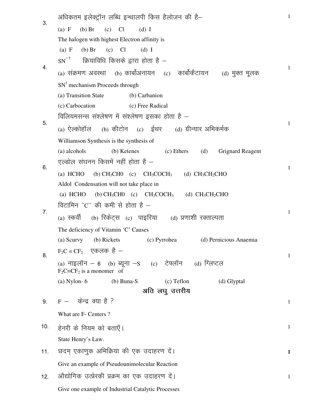| 3.  | अधिकतम इलेक्ट्रॉन लब्धि इन्थालपी किस हैलोजन की है–                                                          | 1            |
|-----|-------------------------------------------------------------------------------------------------------------|--------------|
|     | $(b)$ Br<br>Cl<br>(a) F<br>(c)<br>$(d)$ I                                                                   |              |
|     | The halogen with highest Electron affinity is                                                               |              |
|     | Cl<br>(a) F<br>$(b)$ Br<br>(c)<br>$(d)$ I                                                                   |              |
| 4.  | $SN^{-1}$ क्रियाविधि किसके द्वारा होता है —                                                                 | 1            |
|     | (a) संक्रमण अवस्था    (b) कार्बोअनायन    (c)    कार्बोकैटायन<br>(d) मुक्त मूलक                              |              |
|     | $SN1$ mechanism Proceeds through                                                                            |              |
|     | (a) Transition State<br>(b) Carbanion                                                                       |              |
| 5.  | (c) Free Radical<br>(c) Carbocation                                                                         |              |
|     | विलियमसन्स संश्लेषण में संश्लेषण इसका होता है –                                                             | $\mathbf{1}$ |
|     | (a) ऐल्कोहॉल (b) कीटोन (c) ईथर (d) ग्रीन्यार अभिकर्मक                                                       |              |
|     | Williamson Synthesis is the synthesis of                                                                    |              |
|     | (d)<br>(a) alcohols<br>(b) Ketenes<br>(c) Ethers<br><b>Grignard Reagent</b>                                 |              |
| 6.  | एल्डोल संघनन किसमें नहीं होता है –                                                                          | $\mathbf{1}$ |
|     | $(a)$ HCHO<br>(b) $CH_3CH0$ (c) $CH_3COCH_3$ (d) $CH_3CH_2CHO$                                              |              |
|     | Aldol Condensation will not take place in                                                                   |              |
|     | (a) HCHO<br>(b) $CH_3CH0$ (c) $CH_3COCH_3$ (d) $CH_3CH_2CHO$<br>विटामिन ''C'' की कमी से होता है —           |              |
| 7.  |                                                                                                             | $\mathbf{1}$ |
|     | (a) स्कर्वी (b) रिकेट्स (c)  पाइरिया     (d) प्रणाशी रक्ताल्पता                                             |              |
|     | The deficiency of Vitamin 'C' Causes<br>(d) Pernicious Anaemia<br>(b) Rickets<br>(c) Pyrrohea<br>(a) Scurvy |              |
|     | $F_2C = CF_2$ एकलक है –                                                                                     |              |
| 8.  | (a) नाइलॉन – 6 (b) ब्यूना –S (c) टेफ्लॉन (d) ग्लिप्टल                                                       | $\mathbf{1}$ |
|     | $F_2C=CF_2$ is a monomer of                                                                                 |              |
|     | $(a)$ Nylon- 6<br>$(b)$ Buna-S<br>$(c)$ Teflon<br>(d) Glyptal                                               |              |
|     | अति लघु उत्तरीय                                                                                             |              |
| 9.  | $F - \phi \vec{\sigma}$ द क्या है ?                                                                         | $\mathbf{1}$ |
|     | What are F- Centers?                                                                                        |              |
| 10. | हेनरी के नियम को बताएँ।                                                                                     | $\mathbf{1}$ |
|     | State Henry's Law.                                                                                          |              |
| 11. | छदम् एकाणुक अभिक्रिया की एक उदाहरण दें।                                                                     | $\mathbf{1}$ |
|     | Give an example of Pseudounimolecular Reaction                                                              |              |
| 12. | औद्योगिक उत्प्रेरकी प्रक्रम का एक उदाहरण दें।                                                               | $\mathbf{1}$ |
|     | Give one example of Industrial Catalytic Processes                                                          |              |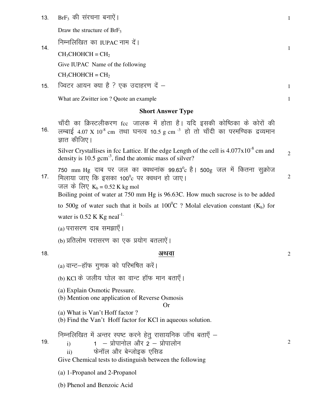BrF<sub>3</sub> की संरचना बनाऐं।  $13.$ 

Draw the structure of  $BrF<sub>3</sub>$ 

निम्नलिखित का IUPAC नाम दें।

 $CH_3CHOHCH = CH_2$ 

 $14.$ 

Give IUPAC Name of the following

 $CH_3CHOHCH = CH_2$ 

ज्विटर आयन क्या है ? एक उदाहरण दें - $15.$ 

What are Zwitter ion ? Quote an example

## **Short Answer Type**

चाँदी का क्रिस्टलीकरण fcc जालक में होता है। यदि इसकी कोष्ठिका के कोरों की 16. लम्बाई 4.07 X  $10^8$  cm तथा घनत्व 10.5 g cm  $^{-3}$  हो तो चाँदी का परमण्विक द्रव्यमान ज्ञात कीजिए।

Silver Crystallises in fcc Lattice. If the edge Length of the cell is  $4.077 \times 10^{-8}$  cm and  $\overline{2}$ density is 10.5 gcm<sup>-3</sup>, find the atomic mass of silver?

750 mm Hg दाब पर जल का क्वथनांक 99.63<sup>0</sup>c है। 500g जल में कितना सूक्रोज  $17.$ मिलाया जाए कि इसका 100<sup>0</sup>c पर क्वथन हो जाए।  $\overline{2}$ जल के लिए  $K_b = 0.52$  K kg mol Boiling point of water at 750 mm Hg is 96.63C. How much sucrose is to be added

to 500g of water such that it boils at  $100^{\circ}$ C ? Molal elevation constant (K<sub>b</sub>) for water is  $0.52$  K Kg neal<sup>-1.</sup>

(a) परासरण दाब समझाएँ।

(b) प्रतिलोम परासरण का एक प्रयोग बतलाऐं।

### $18.$

19.

 $i)$ 

## अथवा

(a) वान्ट-हॉफ गुणक को परिभषित करें।

(b) KCI के जलीय घोल का वान्ट हॉफ मान बताएँ।

(a) Explain Osmotic Pressure.

(b) Mention one application of Reverse Osmosis

## $Or$

- (a) What is Van't Hoff factor?
- (b) Find the Van't Hoff factor for KCl in aqueous solution.

निम्नलिखित में अन्तर स्पष्ट करने हेतू रासायनिक जाँच बताएँ –

- $1 -$  प्रोपानोल और 2 प्रोपालोन
- फेनॉल और बेन्जोइक एसिड  $\mathbf{ii}$

Give Chemical tests to distinguish between the following

(a) 1-Propanol and 2-Propanol

(b) Phenol and Benzoic Acid

 $\mathbf{1}$ 

 $\mathbf{1}$ 

 $\mathbf{1}$ 

 $\overline{2}$ 

 $\mathfrak{2}$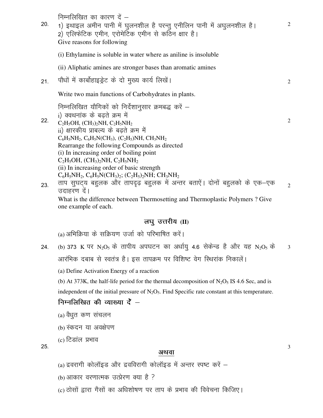| निम्नलिखित का कारण दें –<br>1) इथाइल अमीन पानी में घुलनशील है परन्तु एनीलिन पानी में अघुलनशील है।<br>2) एलिफेटिक एमीन, एरोमेटिक एमीन से कठिन क्षार है।<br>Give reasons for following                                                                                                                                                                                                                     | 2                                             |
|----------------------------------------------------------------------------------------------------------------------------------------------------------------------------------------------------------------------------------------------------------------------------------------------------------------------------------------------------------------------------------------------------------|-----------------------------------------------|
| (i) Ethylamine is soluble in water where as aniline is insoluble                                                                                                                                                                                                                                                                                                                                         |                                               |
| (ii) Aliphatic amines are stronger bases than aromatic amines                                                                                                                                                                                                                                                                                                                                            |                                               |
| पौधों में कार्बोहाइड्रेट के दो मुख्य कार्य लिखें।                                                                                                                                                                                                                                                                                                                                                        | 2                                             |
| Write two main functions of Carbohydrates in plants.                                                                                                                                                                                                                                                                                                                                                     |                                               |
| निम्नलिखित यौगिकों को निर्देशानुसार क्रमबद्ध करें –<br>i) क्वथनांक के बढते क्रम में<br>$C_2H_5OH$ , (CH <sub>3</sub> ) <sub>2</sub> NH, C <sub>2</sub> H <sub>5</sub> NH <sub>2</sub><br>ii) क्षारकीय प्राबल्य के बढते क्रम में<br>$C_6H_5NH_2$ , $C_6H_5N(CH_3)$ , $(C_2H_5)NH$ , $CH_3NH_2$                                                                                                            | 2                                             |
| (i) In increasing order of boiling point<br>$C_2H_5OH$ , $(CH_3)_2NH$ , $C_2H_5NH_2$<br>(ii) In increasing order of basic strength<br>$C_6H_5NH_2$ , $C_6H_5N(CH_3)_2$ ; $(C_2H_5)_2NH$ ; $CH_3NH_2$<br>ताप सुघट्य बहुलक और तापदृढ़ बहुलक में अन्तर बताऐं। दोनों बहुलको के एक-एक<br>उदाहरण दें।<br>What is the difference between Thermosetting and Thermoplastic Polymers? Give<br>one example of each. | $\overline{2}$                                |
|                                                                                                                                                                                                                                                                                                                                                                                                          | Rearrange the following Compounds as directed |

## लघु उत्तरीय (II)

(a) अभिक्रिया के सक्रियण उर्जा को परिभाषित करें।

24. (b) 373 K पर N<sub>2</sub>O<sub>5</sub> के तापीय अपघटन का अर्धायु 4.6 सेकेन्ड है और यह N<sub>2</sub>O<sub>5</sub> के आरंभिक दबाब से स्वतंत्र है। इस तापक्रम पर विशिष्ट वेग स्थिरांक निकालें। 3

(a) Define Activation Energy of a reaction

(b) At 373K, the half-life period for the thermal decomposition of  $N_2O_5$  IS 4.6 Sec, and is

independent of the initial pressure of  $N_2O_5$ . Find Specific rate constant at this temperature.

# निम्नलिखित की व्याख्या दें  $-$

- $(a)$  वैधुत कण संचलन
- (b) स्कदन या अवक्षेपण
- $(c)$  टिडांल प्रभाव

25-

#### अथवा

3

- (a) द्रवरागी कोलॉइड और द्रवविरागी कोलॉइड में अन्तर स्पष्ट करें  $-$
- $(b)$  आकार वरणात्मक उत्प्रेरण क्या है ?
- (c) ठोसों द्वारा गैसों का अधिशोषण पर ताप के प्रभाव की विवेचना किजिए।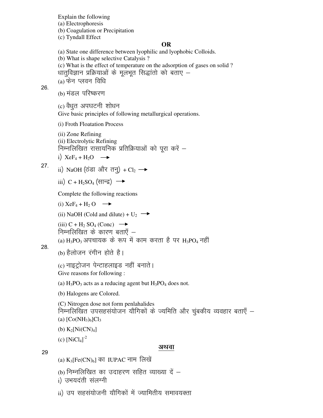Explain the following (a) Electrophoresis (b) Coagulation or Precipitation (c) Tyndall Effect **OR**  (a) State one difference between lyophilic and lyophobic Colloids. (b) What is shape selective Catalysis ? (c) What is the effect of temperature on the adsorption of gases on solid ? 26. धातुविज्ञान प्रक्रियाओं के मूलभूत सिद्धांतो को बताए  $-$ (a) फेन प्लवन विधि (b) मंडल परिष्करण (c) वैधृत अपघटनी शोधन Give basic principles of following metallurgical operations. (i) Froth Floatation Process (ii) Zone Refining (ii) Electrolytic Refining 27- निम्नलिखित रासायनिक प्रतिक्रियाओं को पूरा करें  $$ i)  $XeF_4 + H_2O \rightarrow$ ii) NaOH (ठंडा और तन्) + Cl<sub>2</sub>  $\rightarrow$  $\overline{\text{iii}}$ ) C + H<sub>2</sub>SO<sub>4</sub> (सान्द्र) → Complete the following reactions (i)  $XeF_4 + H_2 O \rightarrow$ (ii) NaOH (Cold and dilute) +  $U_2 \rightarrow$ (iii)  $C + H_2 SO_4 (Conc) \longrightarrow$ 28. निम्नलिखित के कारण बताएँ  $(a)$  H<sub>3</sub>PO<sub>3</sub> अपचायक के रूप में काम करता है पर H<sub>3</sub>PO<sub>4</sub> नहीं (b) हैलोजन रंगीन होते है। (c) नाइट्रोजन पेन्टाहलाइड नहीं बनाते। Give reasons for following : (a)  $H_3PO_3$  acts as a reducing agent but  $H_3PO_4$  does not. (b) Halogens are Colored. (C) Nitrogen dose not form penlahalides 29 निम्नलिखित उपसहसंयोजन यौगिकों के ज्यमिति और चुंबकीय व्यवहार बताएँ – (a)  $[Co(NH_3)_6]Cl_3$ (b)  $K_2[Ni(CN)_4]$ (c)  $[NiCl_4]^{-2}$ अथवा (a)  $K_3[Fe(CN)_6]$  का IUPAC नाम लिखें (b) निम्नलिखित का उदाहरण सहित व्याख्या दें  $-$ 

i) उभयदंती संलग्नी

ii) उप सहसंयोजनी यौगिकों में ज्यामितीय समावयक्ता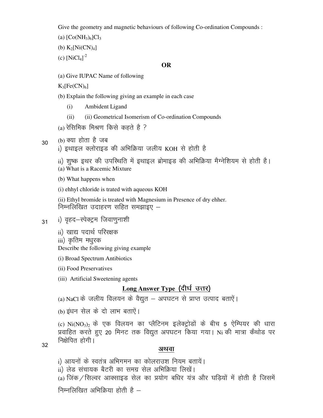Give the geometry and magnetic behaviours of following Co-ordination Compounds :

- (a)  $[Co(NH_3)_6]Cl_3$
- (b)  $K_2[Ni(CN)_4]$
- (c)  $[NiCl_4]^{-2}$

#### **OR**

(a) Give IUPAC Name of following

 $K_3[Fe(CN)_6]$ 

- (b) Explain the following giving an example in each case
	- (i) Ambident Ligand
	- (ii) (ii) Geometrical Isomerism of Co-ordination Compounds
- (a) रेसिमिक मिश्रण किसे कहते है ?
- 30  $(b)$  क्या होता है जब
	- i) इथाइल क्लोराइड की अभिक्रिया जलीय KOH से होती है
	- ii) शुष्क इथर की उपस्थिति में इथाइल ब्रोमाइड की अभिक्रिया मैग्नेशियम से होती है।
	- (a) What is a Racemic Mixture
	- (b) What happens when
	- (i) ehhyl chloride is trated with aqueous KOH
	- (ii) Ethyl bromide is treated with Magnesium in Presence of dry ehher. निम्नलिखित उदाहरण सहित समझाइए  $-$
- 31 i) वृहद–स्पेक्ट्रम जिवाणुनाशी
	- ii) खाद्य पदार्थ परिरक्षक
	- iii) कृतिम मधुरक

Describe the following giving example

- (i) Broad Spectrum Antibiotics
- (ii) Food Preservatives
- (iii) Artificial Sweetening agents

# Long Answer Type (दीर्घ उत्तर)

- (a) NaCl के जलीय विलयन के वैद्युत अपघटन से प्राप्त उत्पाद बताऐं।
- (b) इंधन सेल के दो लाभ बताऐं।

(c) Ni(NO<sub>3</sub>)<sub>2</sub> के एक विलयन का प्लैटिनम इलेक्ट्रोडों के बीच 5 ऐम्पियर की धारा प्रवाहित करते हुए 20 मिनट तक विद्युत अपघटन किया गया। Ni की मात्रा कैथोड पर निक्षेपित होगी।

32

# अथवा

- i) आयनों के स्वतंत्र अभिगमन का कोलराउश नियम बतायें।
- ii) लेड संचायक बैटरी का समग्र सेल अभिक्रिया लिखें।
- (a) जिंक / सिल्वर आक्साइड सेल का प्रयोग बधिर यंत्र और घडियों में होती है जिसमें निम्नलिखित अभिक्रिया होती है $-$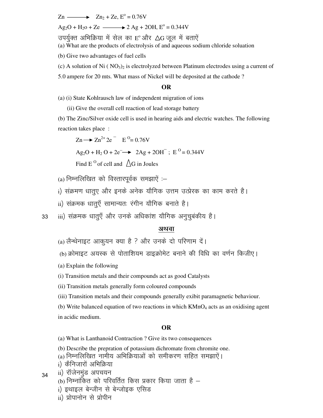$Zn \longrightarrow Zn_2 + Ze$ ,  $E^{\circ} = 0.76V$ 

Ag2O + H2o + Ze 2 Ag + 2OH, E<sup>o</sup> = 0.344V

उपर्युक्त अभिक्रिया में सेल का  $\mathrm{E}^\mathrm{o}$ और  $\Delta \mathrm{G}$  जूल में बताएें

(a) What are the products of electrolysis of and aqueous sodium chloride soluation

(b) Give two advantages of fuel cells

(c) A solution of Ni  $( NO<sub>3</sub>)<sub>2</sub>$  is electrolyzed between Platinum electrodes using a current of

5.0 ampere for 20 mts. What mass of Nickel will be deposited at the cathode ?

#### **OR**

(a) (i) State Kohlrausch law of independent migration of ions

(ii) Give the overall cell reaction of lead storage battery

(b) The Zinc/Silver oxide cell is used in hearing aids and electric watches. The following reaction takes place :

 $\text{Zn} \longrightarrow \text{Zn}^{2+} \text{2e}^- \quad \text{E}^{\text{O}} = 0.76 \text{V}$ 

 $Ag_2O + H_2 O + 2e^- \rightarrow 2Ag + 2OH^-$ ;  $E^O = 0.344V$ 

Find E<sup>o</sup> of cell and  $\triangle$ G in Joules

 $(a)$  निम्नलिखित को विस्तारपूर्वक समझाएँ :-

i) संक्रमण धातूए और इनके अनेक यौगिक उत्तम उत्प्रेरक का काम करते है।

ii) संक्रमक धात्**एँ सामान्यतः रंगीन यौगिक बनाते** है।

33 iii) संक्रमक धातुएँ और उनके अधिकांश यौगिक अनुचूबंकीय है।

#### अथवा

 $(a)$  लैन्थेनाइट आकयन क्या है ? और उनके दो परिणाम दें।

(b) क्रोमाइट अयस्क से पोताशियम डाइक्रोमेट बनाने की विधि का वर्णन किजीए।

(a) Explain the following

(i) Transition metals and their compounds act as good Catalysts

(ii) Transition metals generally form coloured compounds

(iii) Transition metals and their compounds generally exibit paramagnetic behaviour.

(b) Write balanced equation of two reactions in which  $KMnO<sub>4</sub>$  acts as an oxidising agent in acidic medium.

#### **OR**

(a) What is Lanthanoid Contraction ? Give its two consequences

- (b) Describe the prepration of potassium dichromate from chromite one.
- (a) निम्नलिखित नामीय अभिक्रियाओं को समीकरण सहित समझाऐं।
- i) कैनिजारों अभिक्रिया

ii) रॉजेनमुंड अपचयन

34

- (b) निम्नांकित को परिवर्तित किस प्रकार किया जाता है  $$ 
	- i) इथाइल बेन्जीन से बेन्जोइक एसिड
	- ii) प्रोपानोन से प्रोपीन